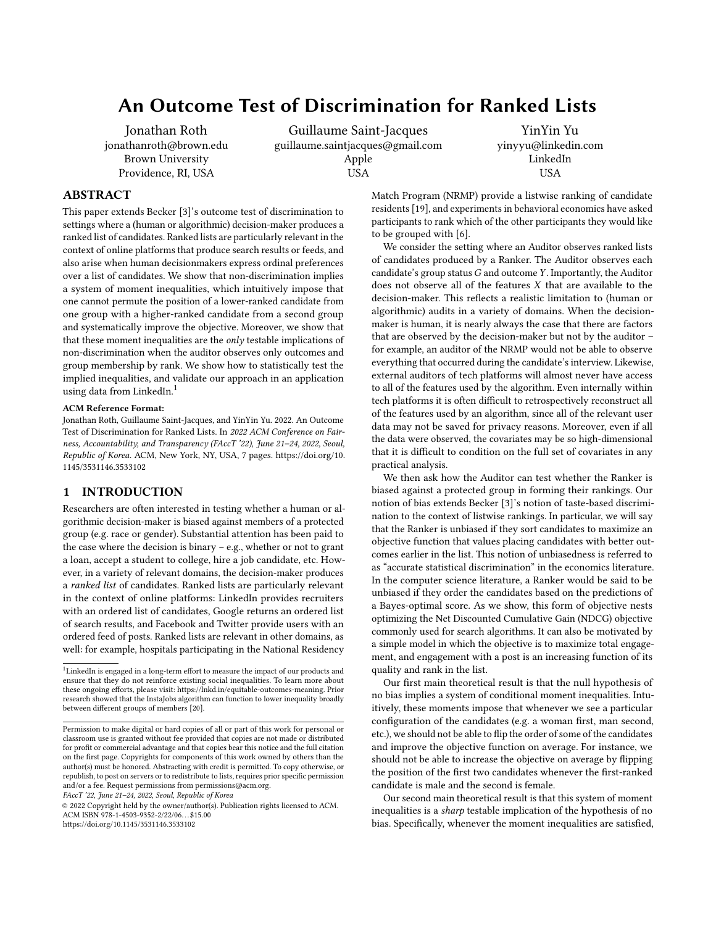# An Outcome Test of Discrimination for Ranked Lists

[Jonathan Roth](https://orcid.org/0000-0002-6221-1124) jonathanroth@brown.edu Brown University Providence, RI, USA

Guillaume Saint-Jacques guillaume.saintjacques@gmail.com Apple USA

YinYin Yu yinyyu@linkedin.com LinkedIn USA

# ABSTRACT

This paper extends Becker [\[3\]](#page-6-0)'s outcome test of discrimination to settings where a (human or algorithmic) decision-maker produces a ranked list of candidates. Ranked lists are particularly relevant in the context of online platforms that produce search results or feeds, and also arise when human decisionmakers express ordinal preferences over a list of candidates. We show that non-discrimination implies a system of moment inequalities, which intuitively impose that one cannot permute the position of a lower-ranked candidate from one group with a higher-ranked candidate from a second group and systematically improve the objective. Moreover, we show that that these moment inequalities are the  $only$  testable implications of non-discrimination when the auditor observes only outcomes and group membership by rank. We show how to statistically test the implied inequalities, and validate our approach in an application using data from LinkedIn.<sup>[1](#page-0-0)</sup>

#### ACM Reference Format:

Jonathan Roth, Guillaume Saint-Jacques, and YinYin Yu. 2022. An Outcome Test of Discrimination for Ranked Lists. In 2022 ACM Conference on Fairness, Accountability, and Transparency (FAccT '22), June 21–24, 2022, Seoul, Republic of Korea. ACM, New York, NY, USA, [7](#page-6-1) pages. [https://doi.org/10.](https://doi.org/10.1145/3531146.3533102) [1145/3531146.3533102](https://doi.org/10.1145/3531146.3533102)

# 1 INTRODUCTION

Researchers are often interested in testing whether a human or algorithmic decision-maker is biased against members of a protected group (e.g. race or gender). Substantial attention has been paid to the case where the decision is binary – e.g., whether or not to grant a loan, accept a student to college, hire a job candidate, etc. However, in a variety of relevant domains, the decision-maker produces a ranked list of candidates. Ranked lists are particularly relevant in the context of online platforms: LinkedIn provides recruiters with an ordered list of candidates, Google returns an ordered list of search results, and Facebook and Twitter provide users with an ordered feed of posts. Ranked lists are relevant in other domains, as well: for example, hospitals participating in the National Residency

FAccT '22, June 21–24, 2022, Seoul, Republic of Korea

© 2022 Copyright held by the owner/author(s). Publication rights licensed to ACM. ACM ISBN 978-1-4503-9352-2/22/06. . . \$15.00 <https://doi.org/10.1145/3531146.3533102>

Match Program (NRMP) provide a listwise ranking of candidate residents [\[19\]](#page-6-3), and experiments in behavioral economics have asked participants to rank which of the other participants they would like to be grouped with [\[6\]](#page-6-4).

We consider the setting where an Auditor observes ranked lists of candidates produced by a Ranker. The Auditor observes each candidate's group status  $G$  and outcome  $Y$ . Importantly, the Auditor does not observe all of the features X that are available to the decision-maker. This reflects a realistic limitation to (human or algorithmic) audits in a variety of domains. When the decisionmaker is human, it is nearly always the case that there are factors that are observed by the decision-maker but not by the auditor – for example, an auditor of the NRMP would not be able to observe everything that occurred during the candidate's interview. Likewise, external auditors of tech platforms will almost never have access to all of the features used by the algorithm. Even internally within tech platforms it is often difficult to retrospectively reconstruct all of the features used by an algorithm, since all of the relevant user data may not be saved for privacy reasons. Moreover, even if all the data were observed, the covariates may be so high-dimensional that it is difficult to condition on the full set of covariates in any practical analysis.

We then ask how the Auditor can test whether the Ranker is biased against a protected group in forming their rankings. Our notion of bias extends Becker [\[3\]](#page-6-0)'s notion of taste-based discrimination to the context of listwise rankings. In particular, we will say that the Ranker is unbiased if they sort candidates to maximize an objective function that values placing candidates with better outcomes earlier in the list. This notion of unbiasedness is referred to as "accurate statistical discrimination" in the economics literature. In the computer science literature, a Ranker would be said to be unbiased if they order the candidates based on the predictions of a Bayes-optimal score. As we show, this form of objective nests optimizing the Net Discounted Cumulative Gain (NDCG) objective commonly used for search algorithms. It can also be motivated by a simple model in which the objective is to maximize total engagement, and engagement with a post is an increasing function of its quality and rank in the list.

Our first main theoretical result is that the null hypothesis of no bias implies a system of conditional moment inequalities. Intuitively, these moments impose that whenever we see a particular configuration of the candidates (e.g. a woman first, man second, etc.), we should not be able to flip the order of some of the candidates and improve the objective function on average. For instance, we should not be able to increase the objective on average by flipping the position of the first two candidates whenever the first-ranked candidate is male and the second is female.

Our second main theoretical result is that this system of moment inequalities is a sharp testable implication of the hypothesis of no bias. Specifically, whenever the moment inequalities are satisfied,

<span id="page-0-0"></span><sup>&</sup>lt;sup>1</sup>LinkedIn is engaged in a long-term effort to measure the impact of our products and ensure that they do not reinforce existing social inequalities. To learn more about these ongoing efforts, please visit: [https://lnkd.in/equitable-outcomes-meaning.](https://lnkd.in/equitable-outcomes-meaning) Prior research showed that the InstaJobs algorithm can function to lower inequality broadly between different groups of members [\[20\]](#page-6-2).

Permission to make digital or hard copies of all or part of this work for personal or classroom use is granted without fee provided that copies are not made or distributed for profit or commercial advantage and that copies bear this notice and the full citation on the first page. Copyrights for components of this work owned by others than the author(s) must be honored. Abstracting with credit is permitted. To copy otherwise, or republish, to post on servers or to redistribute to lists, requires prior specific permission and/or a fee. Request permissions from permissions@acm.org.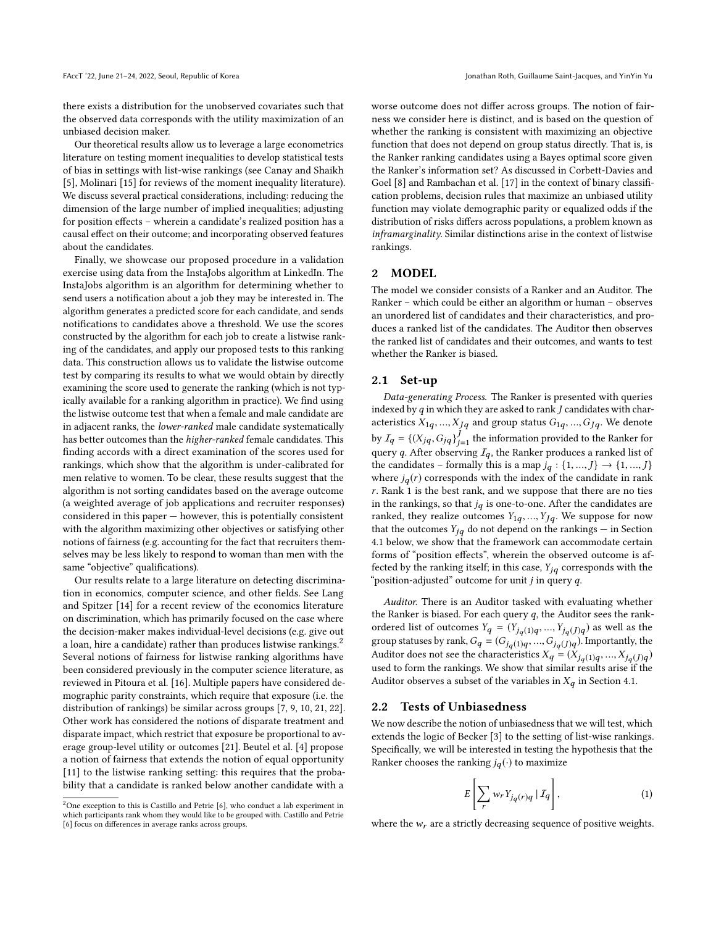there exists a distribution for the unobserved covariates such that the observed data corresponds with the utility maximization of an unbiased decision maker.

Our theoretical results allow us to leverage a large econometrics literature on testing moment inequalities to develop statistical tests of bias in settings with list-wise rankings (see Canay and Shaikh [\[5\]](#page-6-5), Molinari [\[15\]](#page-6-6) for reviews of the moment inequality literature). We discuss several practical considerations, including: reducing the dimension of the large number of implied inequalities; adjusting for position effects – wherein a candidate's realized position has a causal effect on their outcome; and incorporating observed features about the candidates.

Finally, we showcase our proposed procedure in a validation exercise using data from the InstaJobs algorithm at LinkedIn. The InstaJobs algorithm is an algorithm for determining whether to send users a notification about a job they may be interested in. The algorithm generates a predicted score for each candidate, and sends notifications to candidates above a threshold. We use the scores constructed by the algorithm for each job to create a listwise ranking of the candidates, and apply our proposed tests to this ranking data. This construction allows us to validate the listwise outcome test by comparing its results to what we would obtain by directly examining the score used to generate the ranking (which is not typically available for a ranking algorithm in practice). We find using the listwise outcome test that when a female and male candidate are in adjacent ranks, the lower-ranked male candidate systematically has better outcomes than the higher-ranked female candidates. This finding accords with a direct examination of the scores used for rankings, which show that the algorithm is under-calibrated for men relative to women. To be clear, these results suggest that the algorithm is not sorting candidates based on the average outcome (a weighted average of job applications and recruiter responses) considered in this paper — however, this is potentially consistent with the algorithm maximizing other objectives or satisfying other notions of fairness (e.g. accounting for the fact that recruiters themselves may be less likely to respond to woman than men with the same "objective" qualifications).

Our results relate to a large literature on detecting discrimination in economics, computer science, and other fields. See Lang and Spitzer [\[14\]](#page-6-7) for a recent review of the economics literature on discrimination, which has primarily focused on the case where the decision-maker makes individual-level decisions (e.g. give out a loan, hire a candidate) rather than produces listwise rankings.<sup>[2](#page-1-0)</sup> Several notions of fairness for listwise ranking algorithms have been considered previously in the computer science literature, as reviewed in Pitoura et al. [\[16\]](#page-6-8). Multiple papers have considered demographic parity constraints, which require that exposure (i.e. the distribution of rankings) be similar across groups [\[7,](#page-6-9) [9,](#page-6-10) [10,](#page-6-11) [21,](#page-6-12) [22\]](#page-6-13). Other work has considered the notions of disparate treatment and disparate impact, which restrict that exposure be proportional to average group-level utility or outcomes [\[21\]](#page-6-12). Beutel et al. [\[4\]](#page-6-14) propose a notion of fairness that extends the notion of equal opportunity [\[11\]](#page-6-15) to the listwise ranking setting: this requires that the probability that a candidate is ranked below another candidate with a

worse outcome does not differ across groups. The notion of fairness we consider here is distinct, and is based on the question of whether the ranking is consistent with maximizing an objective function that does not depend on group status directly. That is, is the Ranker ranking candidates using a Bayes optimal score given the Ranker's information set? As discussed in Corbett-Davies and Goel [\[8\]](#page-6-16) and Rambachan et al. [\[17\]](#page-6-17) in the context of binary classification problems, decision rules that maximize an unbiased utility function may violate demographic parity or equalized odds if the distribution of risks differs across populations, a problem known as inframarginality. Similar distinctions arise in the context of listwise rankings.

## 2 MODEL

The model we consider consists of a Ranker and an Auditor. The Ranker – which could be either an algorithm or human – observes an unordered list of candidates and their characteristics, and produces a ranked list of the candidates. The Auditor then observes the ranked list of candidates and their outcomes, and wants to test whether the Ranker is biased.

## 2.1 Set-up

Data-generating Process. The Ranker is presented with queries indexed by  $q$  in which they are asked to rank  $J$  candidates with characteristics  $X_{1q}$ , ...,  $X_{Jq}$  and group status  $G_{1q}$ , ...,  $G_{Jq}$ . We denote by  $I_q = \left\{ (X_{jq}, G_{jq})_{j=1}^J \right\}$  the information provided to the Ranker for overv *a*. After observing  $I_r$ , the Ranker produces a ranked list of query q. After observing  $I_q$ , the Ranker produces a ranked list of the candidates – formally this is a map  $j_q$  :  $\{1, ..., J\}$   $\rightarrow$   $\{1, ..., J\}$ where  $j_q(r)$  corresponds with the index of the candidate in rank  $r$ . Rank 1 is the best rank, and we suppose that there are no ties in the rankings, so that  $j_q$  is one-to-one. After the candidates are ranked, they realize outcomes  $Y_{1q},...,Y_{Jq}$ . We suppose for now that the outcomes  $Y_{jq}$  do not depend on the rankings — in Section [4.1](#page-4-0) below, we show that the framework can accommodate certain forms of "position effects", wherein the observed outcome is affected by the ranking itself; in this case,  $Y_{jq}$  corresponds with the "position-adjusted" outcome for unit  $j$  in query  $q$ .

Auditor. There is an Auditor tasked with evaluating whether the Ranker is biased. For each query  $q$ , the Auditor sees the rankordered list of outcomes  $Y_q = (Y_{jq(1)q}, ..., Y_{jq}(J)q)$  as well as the group statuses by rank  $G = (G_{j,q(1)q}, ..., G_{j(q)})$  Importantly the group statuses by rank,  $G_q = (G_{j_q(1)q},...,G_{j_q(j)q})$ . Importantly, the Auditor does not see the characteristics  $X_q = (X_{j_q(1)q}, ..., X_{j_q(j)q})$ used to form the rankings. We show that similar results arise if the Auditor observes a subset of the variables in  $X_q$  in Section [4.1.](#page-4-0)

# 2.2 Tests of Unbiasedness

We now describe the notion of unbiasedness that we will test, which extends the logic of Becker [\[3\]](#page-6-0) to the setting of list-wise rankings. Specifically, we will be interested in testing the hypothesis that the Ranker chooses the ranking  $j_q(\cdot)$  to maximize

<span id="page-1-1"></span>
$$
E\left[\sum_{r} w_r Y_{j_q(r)q} | \mathcal{I}_q\right],\tag{1}
$$

where the  $w_r$  are a strictly decreasing sequence of positive weights.

<span id="page-1-0"></span> $2$ One exception to this is Castillo and Petrie [\[6\]](#page-6-4), who conduct a lab experiment in which participants rank whom they would like to be grouped with. Castillo and Petrie [\[6\]](#page-6-4) focus on differences in average ranks across groups.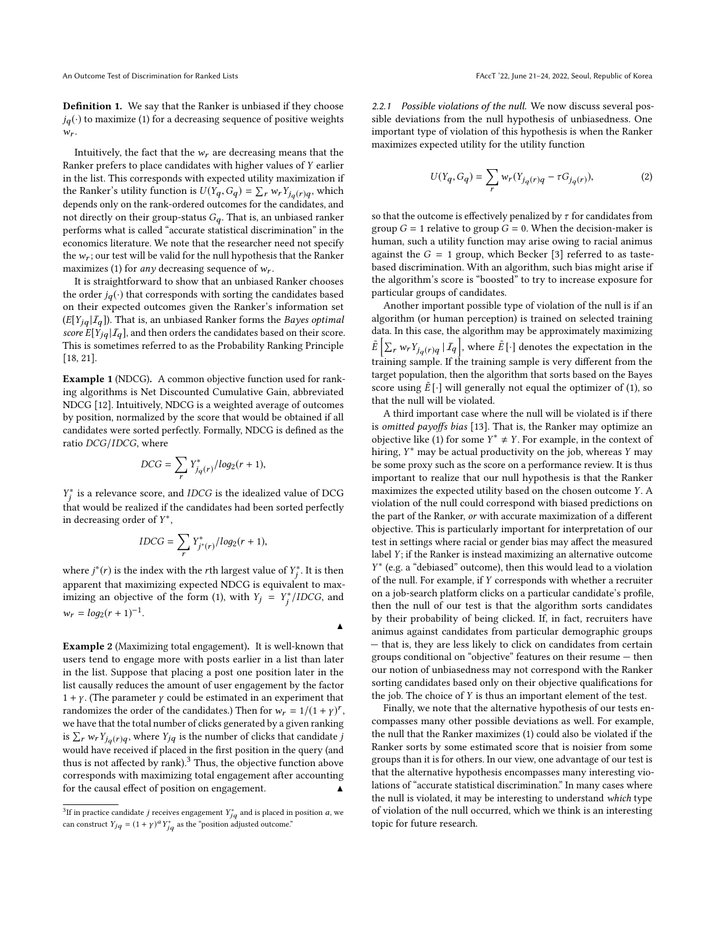Definition 1. We say that the Ranker is unbiased if they choose  $j_q(\cdot)$  to maximize [\(1\)](#page-1-1) for a decreasing sequence of positive weights  $w_r$ .

Intuitively, the fact that the  $w_r$  are decreasing means that the Ranker prefers to place candidates with higher values of Y earlier in the list. This corresponds with expected utility maximization if the Ranker's utility function is  $U(Y_q, G_q) = \sum_r w_r Y_{j_q(r)q}$ , which<br>denends only on the rank-ordered outcomes for the condidates, and depends only on the rank-ordered outcomes for the candidates, and not directly on their group-status  $G_q$ . That is, an unbiased ranker performs what is called "accurate statistical discrimination" in the economics literature. We note that the researcher need not specify the  $w_r$ ; our test will be valid for the null hypothesis that the Ranker maximizes [\(1\)](#page-1-1) for *any* decreasing sequence of  $w_r$ .

It is straightforward to show that an unbiased Ranker chooses the order  $j_q(\cdot)$  that corresponds with sorting the candidates based on their expected outcomes given the Ranker's information set  $(E[Y_{iq} | \mathcal{I}_q])$ . That is, an unbiased Ranker forms the *Bayes optimal* score  $E[Y_{i,q} | \mathcal{I}_q]$ , and then orders the candidates based on their score. This is sometimes referred to as the Probability Ranking Principle [\[18,](#page-6-18) [21\]](#page-6-12).

<span id="page-2-3"></span>Example 1 (NDCG). A common objective function used for ranking algorithms is Net Discounted Cumulative Gain, abbreviated NDCG [\[12\]](#page-6-19). Intuitively, NDCG is a weighted average of outcomes by position, normalized by the score that would be obtained if all candidates were sorted perfectly. Formally, NDCG is defined as the ratio DCG/IDCG, where

$$
DCG = \sum_{r} Y_{j_q(r)}^* / log_2(r+1),
$$

 $\frac{J}{I}$  that would be realized if the candidates had been sorted perfectly ∗ is a relevance score, and IDCG is the idealized value of DCG in decreasing order of  $Y^*$ ,

$$
IDCG = \sum_{r} Y_{j^*(r)}^* / log_2(r+1),
$$

where  $j^*(r)$  is the index with the rth largest value of  $Y_j^*$ . It is then<br>connected that may imiging supported NDCC is conjugated to may apparent that maximizing expected NDCG is equivalent to max-imizing an objective of the form [\(1\)](#page-1-1), with  $Y_j = Y_j^* / IDCG$ , and j  $w_r = log_2(r + 1)^{-1}.$ 

▲

<span id="page-2-2"></span>Example 2 (Maximizing total engagement). It is well-known that users tend to engage more with posts earlier in a list than later in the list. Suppose that placing a post one position later in the list causally reduces the amount of user engagement by the factor  $1 + \gamma$ . (The parameter  $\gamma$  could be estimated in an experiment that randomizes the order of the candidates.) Then for  $w_r = 1/(1 + y)^r$ , we have that the total number of clicks generated by a given ranking is  $\sum_r w_r Y_{j_q(r)q}$ , where  $Y_{jq}$  is the number of clicks that candidate jumple have received if placed in the first position in the guery (and would have received if placed in the first position in the query (and thus is not affected by rank). $3$  Thus, the objective function above corresponds with maximizing total engagement after accounting for the causal effect of position on engagement. ▲

2.2.1 Possible violations of the null. We now discuss several possible deviations from the null hypothesis of unbiasedness. One important type of violation of this hypothesis is when the Ranker maximizes expected utility for the utility function

<span id="page-2-1"></span>
$$
U(Y_q, G_q) = \sum_r w_r(Y_{j_q(r)q} - \tau G_{j_q(r)}),\tag{2}
$$

so that the outcome is effectively penalized by  $\tau$  for candidates from group  $G = 1$  relative to group  $G = 0$ . When the decision-maker is human, such a utility function may arise owing to racial animus against the  $G = 1$  group, which Becker [\[3\]](#page-6-0) referred to as tastebased discrimination. With an algorithm, such bias might arise if the algorithm's score is "boosted" to try to increase exposure for particular groups of candidates.

Another important possible type of violation of the null is if an algorithm (or human perception) is trained on selected training data. In this case, the algorithm may be approximately maximizing  $\tilde{E} \left[ \sum_r w_r Y_{jq}(r)q \mid I_q \right]$ , where  $\tilde{E}[\cdot]$  denotes the expectation in the training sample. If the training sample is very different from the target population, then the algorithm that sorts based on the Bayes score using  $\tilde{E}[\cdot]$  will generally not equal the optimizer of [\(1\)](#page-1-1), so that the null will be violated.

A third important case where the null will be violated is if there is omitted payoffs bias [\[13\]](#page-6-20). That is, the Ranker may optimize an objective like [\(1\)](#page-1-1) for some  $Y^* \neq Y$ . For example, in the context of hiring  $Y^*$  may be actual productivity on the job whereas  $Y$  may hiring, Y<sup>∗</sup> may be actual productivity on the job, whereas Y may be some proxy such as the score on a performance review. It is thus be some proxy such as the score on a performance review. It is thus important to realize that our null hypothesis is that the Ranker maximizes the expected utility based on the chosen outcome Y. A violation of the null could correspond with biased predictions on the part of the Ranker, or with accurate maximization of a different objective. This is particularly important for interpretation of our test in settings where racial or gender bias may affect the measured label Y; if the Ranker is instead maximizing an alternative outcome of the null. For example, if Y corresponds with whether a recruiter<br>on a job-search platform clicks on a particular condidate's profile ∗ (e.g. a "debiased" outcome), then this would lead to a violation on a job-search platform clicks on a particular candidate's profile, then the null of our test is that the algorithm sorts candidates by their probability of being clicked. If, in fact, recruiters have animus against candidates from particular demographic groups — that is, they are less likely to click on candidates from certain groups conditional on "objective" features on their resume — then our notion of unbiasedness may not correspond with the Ranker sorting candidates based only on their objective qualifications for the job. The choice of Y is thus an important element of the test.

Finally, we note that the alternative hypothesis of our tests encompasses many other possible deviations as well. For example, the null that the Ranker maximizes [\(1\)](#page-1-1) could also be violated if the Ranker sorts by some estimated score that is noisier from some groups than it is for others. In our view, one advantage of our test is that the alternative hypothesis encompasses many interesting violations of "accurate statistical discrimination." In many cases where the null is violated, it may be interesting to understand which type of violation of the null occurred, which we think is an interesting topic for future research.

<span id="page-2-0"></span><sup>&</sup>lt;sup>3</sup>If in practice candidate *j* receives engagement  $Y_{jq}^*$  and is placed in position *a*, we can construct  $Y_{jq} = (1 + \gamma)^a Y^*_{jq}$  as the "position adjusted outcome."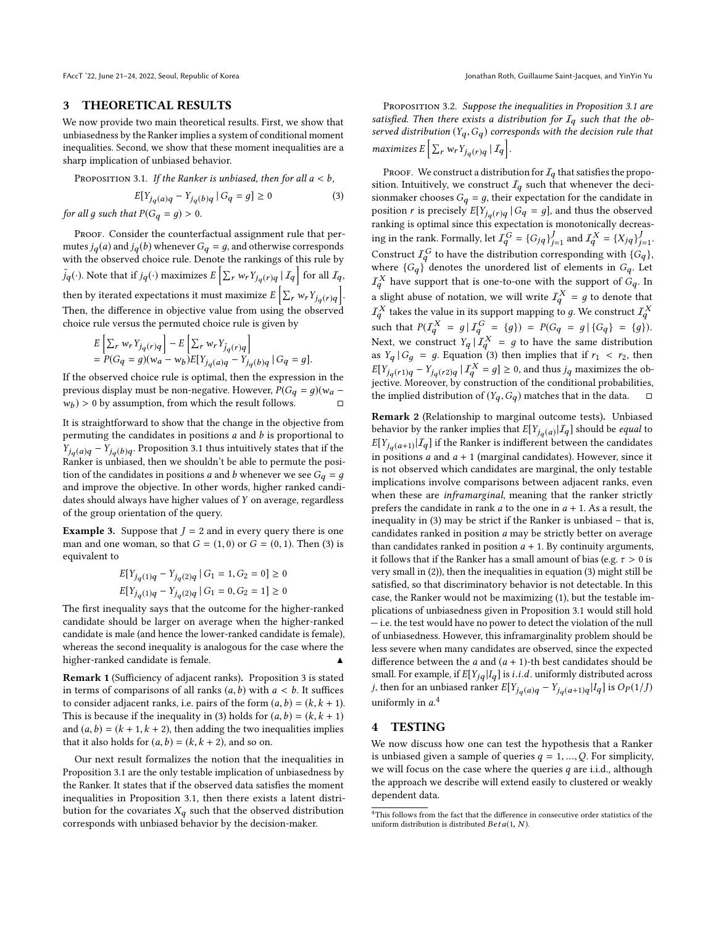#### 3 THEORETICAL RESULTS

We now provide two main theoretical results. First, we show that unbiasedness by the Ranker implies a system of conditional moment inequalities. Second, we show that these moment inequalities are a sharp implication of unbiased behavior.

<span id="page-3-0"></span>PROPOSITION 3.1. If the Ranker is unbiased, then for all  $a < b$ ,

<span id="page-3-1"></span>
$$
E[Y_{j_q(a)q} - Y_{j_q(b)q} | G_q = g] \ge 0
$$
 (3)

for all g such that  $P(G_q = g) > 0$ .

PROOF. Consider the counterfactual assignment rule that permutes  $j_q(a)$  and  $j_q(b)$  whenever  $G_q = g$ , and otherwise corresponds with the observed choice rule. Denote the rankings of this rule by  $\tilde{J}_q(\cdot)$ . Note that if  $j_q(\cdot)$  maximizes  $E\left[\sum_r w_r Y_{j_q(r)q} | I_q \right]$  for all  $I_q$ , then by iterated expectations it must maximize  $E\left[\sum_r w_r Y_{j_q(r)q}\right]$ . Then, the difference in objective value from using the observed choice rule versus the permuted choice rule is given by

$$
E\left[\sum_r w_r Y_{j_q(r)q}\right] - E\left[\sum_r w_r Y_{\tilde{j}_q(r)q}\right]
$$
  
=  $P(G_q = g)(w_a - w_b)E[Y_{j_q(a)q} - Y_{j_q(b)q} | G_q = g].$ 

If the observed choice rule is optimal, then the expression in the previous display must be non-negative. However,  $P(G_q = g)(w_a - w_b) > 0$  by assumption, from which the result follows.  $(w_b) > 0$  by assumption, from which the result follows.  $\Box$ 

It is straightforward to show that the change in the objective from permuting the candidates in positions  $a$  and  $b$  is proportional to  $\overline{Y}_{j_q(a)q} - \overline{Y}_{j_q(b)q}$ . Proposition [3.1](#page-3-0) thus intuitively states that if the Papkar is unbiased, then we shouldn't be oble to permute the posi-Ranker is unbiased, then we shouldn't be able to permute the position of the candidates in positions a and b whenever we see  $G_q = q$ and improve the objective. In other words, higher ranked candidates should always have higher values of Y on average, regardless of the group orientation of the query.

**Example 3.** Suppose that  $J = 2$  and in every query there is one man and one woman, so that  $G = (1, 0)$  or  $G = (0, 1)$ . Then [\(3\)](#page-3-1) is equivalent to

$$
\begin{aligned} &E[Y_{jq(1)q}-Y_{jq(2)q}\,|\,G_1=1,G_2=0] \geq 0 \\ &E[Y_{jq(1)q}-Y_{jq(2)q}\,|\,G_1=0,G_2=1] \geq 0 \end{aligned}
$$

The first inequality says that the outcome for the higher-ranked candidate should be larger on average when the higher-ranked candidate is male (and hence the lower-ranked candidate is female), whereas the second inequality is analogous for the case where the higher-ranked candidate is female.

<span id="page-3-3"></span>Remark 1 (Sufficiency of adjacent ranks). Proposition [3](#page-3-1) is stated in terms of comparisons of all ranks  $(a, b)$  with  $a < b$ . It suffices to consider adjacent ranks, i.e. pairs of the form  $(a, b) = (k, k + 1)$ . This is because if the inequality in [\(3\)](#page-3-1) holds for  $(a, b) = (k, k + 1)$ and  $(a, b) = (k + 1, k + 2)$ , then adding the two inequalities implies that it also holds for  $(a, b) = (k, k + 2)$ , and so on.

Our next result formalizes the notion that the inequalities in Proposition [3.1](#page-3-0) are the only testable implication of unbiasedness by the Ranker. It states that if the observed data satisfies the moment inequalities in Proposition [3.1,](#page-3-0) then there exists a latent distribution for the covariates  $X_q$  such that the observed distribution corresponds with unbiased behavior by the decision-maker.

Proposition 3.2. Suppose the inequalities in Proposition [3.1](#page-3-0) are satisfied. Then there exists a distribution for  $I_q$  such that the observed distribution  $(Y_q, G_q)$  corresponds with the decision rule that maximizes  $E\left[\sum_r w_r Y_{j_q(r)q} | \mathcal{I}_q\right]$ .

PROOF. We construct a distribution for  $I_q$  that satisfies the proposition. Intuitively, we construct  $I_q$  such that whenever the decisionmaker chooses  $G_q = g$ , their expectation for the candidate in position r is precisely  $E[Y_{j_q(r)q} | G_q = g]$ , and thus the observed<br>rapking is optimal since this expectation is monotonically decrease ranking is optimal since this expectation is monotonically decreasing in the rank. Formally, let  $I_Q^G = \{G_{jq}\}_{j=1}^J$  and  $I_Q^X = \{X_{jq}\}_{j=1}^J$ .<br>Construct  $I_Q^G$  to have the distribution compared in position  $(G)$ . Construct  $I_q^G$  to have the distribution corresponding with  $\{G_q\}$ , where  ${G_q}$  denotes the unordered list of elements in  $G_q$ . Let  $\tau X$  have sumport that is an a space with the sumport of  $G$ . In  $I_q^X$  have support that is one-to-one with the support of  $G_q$ . In  $I_q^X$  and the support of  $G_q$ . a slight abuse of notation, we will write  $I_q^X = g$  to denote that  $I_q^X$  $I_q^X$  takes the value in its support mapping to g. We construct  $I_q^X$ such that  $P(I_q^X = g | I_q^G = \{g\}) = P(G_q = g | \{G_q\} = \{g\})$ . Next, we construct  $Y_q | I_q^X = g$  to have the same distribution<br>as  $Y | G = g$ . Fourtion (3) then implies that if  $r \le r_0$  then as  $Y_q | G_q = g$ . Equation [\(3\)](#page-3-1) then implies that if  $r_1 < r_2$ , then  $E[Y_{jq}(r1)q - Y_{jq}(r2)q | T_q^X = g] \ge 0$ , and thus  $jq$  maximizes the ob-<br>jective. Moreover, by construction of the conditional probabilities. the implied distribution of  $(Y_q, G_q)$  matches that in the data.  $\Box$ 

Remark 2 (Relationship to marginal outcome tests). Unbiased behavior by the ranker implies that  $E[Y_{q(a)} | \mathcal{I}_q]$  should be *equal* to  $E[Y_{q(a)} | \mathcal{I}_q]$  if the Popker is indifferent between the condidates  $E[Y_{j_q(a+1)} | \mathcal{I}_q]$  if the Ranker is indifferent between the candidates<br>in positions a and a 1.1 (marginal candidates). However, since it in positions  $a$  and  $a + 1$  (marginal candidates). However, since it is not observed which candidates are marginal, the only testable implications involve comparisons between adjacent ranks, even when these are inframarginal, meaning that the ranker strictly prefers the candidate in rank  $a$  to the one in  $a + 1$ . As a result, the inequality in [\(3\)](#page-3-1) may be strict if the Ranker is unbiased – that is, candidates ranked in position a may be strictly better on average than candidates ranked in position  $a + 1$ . By continuity arguments, it follows that if the Ranker has a small amount of bias (e.g.  $\tau > 0$  is very small in [\(2\)](#page-2-1)), then the inequalities in equation [\(3\)](#page-3-1) might still be satisfied, so that discriminatory behavior is not detectable. In this case, the Ranker would not be maximizing [\(1\)](#page-1-1), but the testable implications of unbiasedness given in Proposition [3.1](#page-3-0) would still hold — i.e. the test would have no power to detect the violation of the null of unbiasedness. However, this inframarginality problem should be less severe when many candidates are observed, since the expected difference between the  $a$  and  $(a + 1)$ -th best candidates should be small. For example, if  $E[Y_{jq}|I_q]$  is *i.i.d.* uniformly distributed across j, then for an unbiased ranker  $E[Y_{j_q(a)q} - Y_{j_q(a+1)q}|I_q]$  is  $Op(1/J)$ uniformly in  $a^4$  $a^4$ 

## 4 TESTING

We now discuss how one can test the hypothesis that a Ranker is unbiased given a sample of queries  $q = 1, ..., Q$ . For simplicity, we will focus on the case where the queries  $q$  are i.i.d., although the approach we describe will extend easily to clustered or weakly dependent data.

<span id="page-3-2"></span> $^4{\rm This}$  follows from the fact that the difference in consecutive order statistics of the uniform distribution is distributed  $Beta(1, N)$ .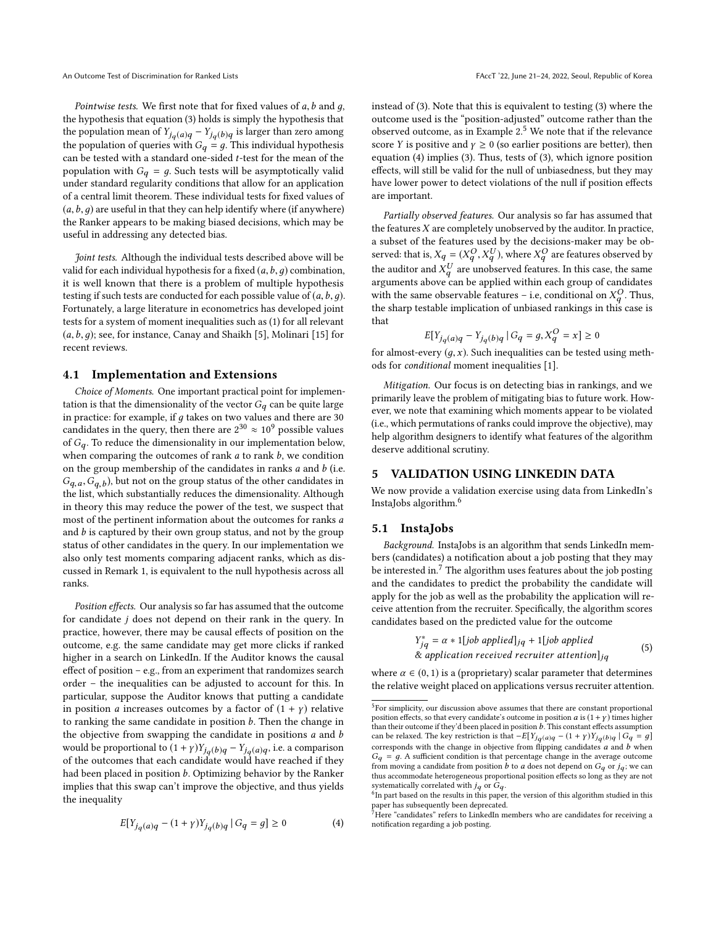Pointwise tests. We first note that for fixed values of  $a, b$  and  $q$ , the hypothesis that equation [\(3\)](#page-3-1) holds is simply the hypothesis that the population mean of  $Y_{jq}(a)q - Y_{jq}(b)q$  is larger than zero among<br>the population of queries with  $C = a$ . This individual hypothesis the population of queries with  $G_q = g$ . This individual hypothesis<br>can be tested with a standard one-sided t-test for the mean of the can be tested with a standard one-sided t-test for the mean of the population with  $G_q = g$ . Such tests will be asymptotically valid under standard regularity conditions that allow for an application of a central limit theorem. These individual tests for fixed values of  $(a, b, q)$  are useful in that they can help identify where (if anywhere) the Ranker appears to be making biased decisions, which may be useful in addressing any detected bias.

Joint tests. Although the individual tests described above will be valid for each individual hypothesis for a fixed  $(a, b, g)$  combination, it is well known that there is a problem of multiple hypothesis testing if such tests are conducted for each possible value of  $(a, b, q)$ . Fortunately, a large literature in econometrics has developed joint tests for a system of moment inequalities such as [\(1\)](#page-1-1) for all relevant  $(a,b,g)$ ; see, for instance, Canay and Shaikh [\[5\]](#page-6-5), Molinari [\[15\]](#page-6-6) for recent reviews.

#### <span id="page-4-0"></span>4.1 Implementation and Extensions

Choice of Moments. One important practical point for implementation is that the dimensionality of the vector  $G_q$  can be quite large in practice: for example, if  $g$  takes on two values and there are  $30\,$ candidates in the query, then there are  $2^{30} \approx 10^9$  possible values of  $G_q$ . To reduce the dimensionality in our implementation below, when comparing the outcomes of rank  $a$  to rank  $b$ , we condition on the group membership of the candidates in ranks  $a$  and  $b$  (i.e.  $G_{q, u}^{q, u}$ ,  $G_{q, u}^{q, u}$ , which substantially reduces the dimensionality. Although  $(G_{q,a}, G_{q,b})$ , but not on the group status of the other candidates in in theory this may reduce the power of the test, we suspect that most of the pertinent information about the outcomes for ranks a and  $b$  is captured by their own group status, and not by the group status of other candidates in the query. In our implementation we also only test moments comparing adjacent ranks, which as discussed in Remark [1,](#page-3-3) is equivalent to the null hypothesis across all ranks.

Position effects. Our analysis so far has assumed that the outcome for candidate j does not depend on their rank in the query. In practice, however, there may be causal effects of position on the outcome, e.g. the same candidate may get more clicks if ranked higher in a search on LinkedIn. If the Auditor knows the causal effect of position – e.g., from an experiment that randomizes search order – the inequalities can be adjusted to account for this. In particular, suppose the Auditor knows that putting a candidate in position *a* increases outcomes by a factor of  $(1 + y)$  relative to ranking the same candidate in position  $b$ . Then the change in the objective from swapping the candidate in positions  $a$  and  $b$ would be proportional to  $(1 + y)Y_{j_q}(b)q - Y_{j_q}(a)q$ , i.e. a comparison<br>of the outcomes that each condidate would have reached if they of the outcomes that each candidate would have reached if they had been placed in position b. Optimizing behavior by the Ranker implies that this swap can't improve the objective, and thus yields the inequality

<span id="page-4-2"></span>
$$
E[Y_{j_q(a)q} - (1+\gamma)Y_{j_q(b)q} | G_q = g] \ge 0
$$
 (4)

instead of [\(3\)](#page-3-1). Note that this is equivalent to testing [\(3\)](#page-3-1) where the outcome used is the "position-adjusted" outcome rather than the observed outcome, as in Example  $2<sup>5</sup>$  $2<sup>5</sup>$  $2<sup>5</sup>$  We note that if the relevance score Y is positive and  $\gamma \geq 0$  (so earlier positions are better), then equation [\(4\)](#page-4-2) implies [\(3\)](#page-3-1). Thus, tests of [\(3\)](#page-3-1), which ignore position effects, will still be valid for the null of unbiasedness, but they may have lower power to detect violations of the null if position effects are important.

Partially observed features. Our analysis so far has assumed that the features  $X$  are completely unobserved by the auditor. In practice, a subset of the features used by the decisions-maker may be observed: that is,  $X_q = (X_q^O, X_q^U)$ , where  $X_q^O$  are features observed by the auditor and  $X_q^U$  are unobserved features. In this case, the same<br>arguments above can be applied within each group of candidates arguments above can be applied within each group of candidates with the same observable features – i.e, conditional on  $X_q^O$ . Thus, the sharp testable implication of uphiased rapkings in this case is the sharp testable implication of unbiased rankings in this case is that

$$
E[Y_{jq}(a)q - Y_{jq}(b)q \mid G_q = g, X_q^O = x] \ge 0
$$

for almost-every  $(g, x)$ . Such inequalities can be tested using meth-<br>ods for conditional moment inequalities  $[1]$ ods for conditional moment inequalities [\[1\]](#page-6-21).

Mitigation. Our focus is on detecting bias in rankings, and we primarily leave the problem of mitigating bias to future work. However, we note that examining which moments appear to be violated (i.e., which permutations of ranks could improve the objective), may help algorithm designers to identify what features of the algorithm deserve additional scrutiny.

#### 5 VALIDATION USING LINKEDIN DATA

We now provide a validation exercise using data from LinkedIn's InstaJobs algorithm.[6](#page-4-3)

## 5.1 InstaJobs

Background. InstaJobs is an algorithm that sends LinkedIn members (candidates) a notification about a job posting that they may be interested in.<sup>[7](#page-4-4)</sup> The algorithm uses features about the job posting and the candidates to predict the probability the candidate will apply for the job as well as the probability the application will receive attention from the recruiter. Specifically, the algorithm scores candidates based on the predicted value for the outcome

<span id="page-4-5"></span>
$$
Y_{jq}^* = \alpha * 1[job\ applied]_{jq} + 1[job\ applied
$$
  
& *application received recurrence* attention]\_{jq} (5)

where  $\alpha \in (0, 1)$  is a (proprietary) scalar parameter that determines the relative weight placed on applications versus recruiter attention.

<span id="page-4-1"></span> $5$  For simplicity, our discussion above assumes that there are constant proportional position effects, so that every candidate's outcome in position  $a$  is  $(1+\gamma)$  times higher than their outcome if they'd been placed in position  $b$ . This constant effects assumption can be relaxed. The key restriction is that  $-E[Y_{jq}(a)q - (1 + \gamma)Y_{jq}(b)q \mid G_q = g]$ corresponds with the change in objective from flipping candidates  $a$  and  $b$  when  $G_q = g$ . A sufficient condition is that percentage change in the average outcome from moving a candidate from position b to a does not depend on  $G_q$  or  $j_q$ ; we can thus accommodate heterogeneous proportional position effects so long as they are not systematically correlated with  $j_q$  or  $G_q$ .<br><sup>6</sup> In part based on the results in this paper, the version of this algorithm studied in this

<span id="page-4-3"></span>paper has subsequently been deprecated.<br><sup>7</sup>Here "candidates" refers to LinkedIn members who are candidates for receiving a

<span id="page-4-4"></span>notification regarding a job posting.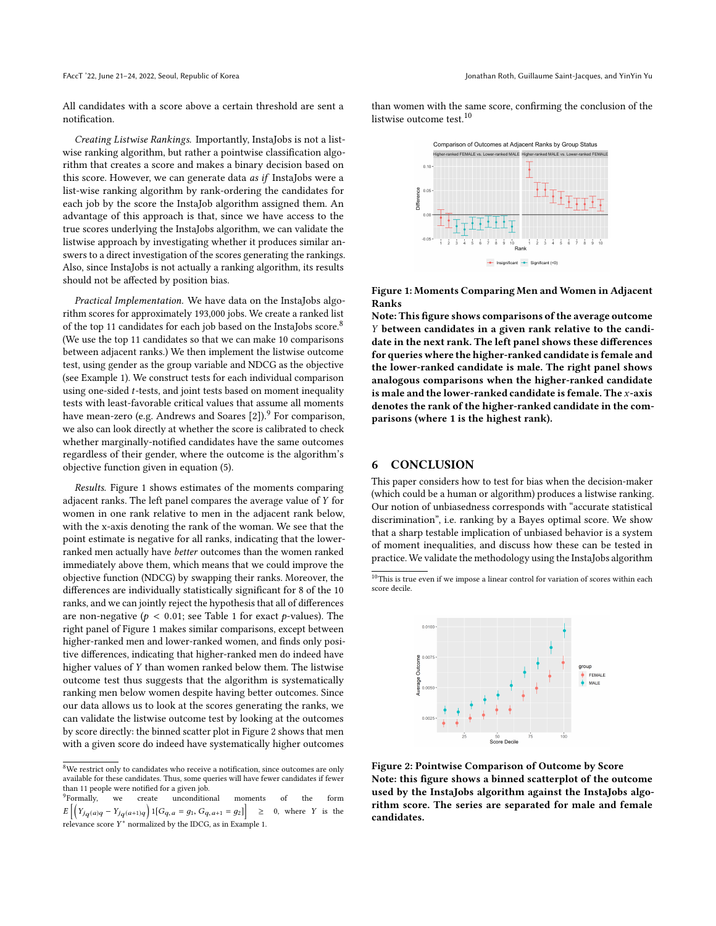FAccT '22, June 21-24, 2022, Seoul, Republic of Korea Jonathan Roth, Guillaume Saint-Jacques, and YinYin Yu

All candidates with a score above a certain threshold are sent a notification.

Creating Listwise Rankings. Importantly, InstaJobs is not a listwise ranking algorithm, but rather a pointwise classification algorithm that creates a score and makes a binary decision based on this score. However, we can generate data as if InstaJobs were a list-wise ranking algorithm by rank-ordering the candidates for each job by the score the InstaJob algorithm assigned them. An advantage of this approach is that, since we have access to the true scores underlying the InstaJobs algorithm, we can validate the listwise approach by investigating whether it produces similar answers to a direct investigation of the scores generating the rankings. Also, since InstaJobs is not actually a ranking algorithm, its results should not be affected by position bias.

Practical Implementation. We have data on the InstaJobs algorithm scores for approximately 193,000 jobs. We create a ranked list of the top 11 candidates for each job based on the InstaJobs score.<sup>[8](#page-5-0)</sup> (We use the top 11 candidates so that we can make 10 comparisons between adjacent ranks.) We then implement the listwise outcome test, using gender as the group variable and NDCG as the objective (see Example [1\)](#page-2-3). We construct tests for each individual comparison using one-sided t-tests, and joint tests based on moment inequality tests with least-favorable critical values that assume all moments have mean-zero (e.g. Andrews and Soares  $[2]$ ).<sup>[9](#page-5-1)</sup> For comparison, we also can look directly at whether the score is calibrated to check whether marginally-notified candidates have the same outcomes regardless of their gender, where the outcome is the algorithm's objective function given in equation [\(5\)](#page-4-5).

Results. Figure [1](#page-5-2) shows estimates of the moments comparing adjacent ranks. The left panel compares the average value of Y for women in one rank relative to men in the adjacent rank below, with the x-axis denoting the rank of the woman. We see that the point estimate is negative for all ranks, indicating that the lowerranked men actually have better outcomes than the women ranked immediately above them, which means that we could improve the objective function (NDCG) by swapping their ranks. Moreover, the differences are individually statistically significant for 8 of the 10 ranks, and we can jointly reject the hypothesis that all of differences are non-negative ( $p < 0.01$ ; see Table [1](#page-6-23) for exact p-values). The right panel of Figure [1](#page-5-2) makes similar comparisons, except between higher-ranked men and lower-ranked women, and finds only positive differences, indicating that higher-ranked men do indeed have higher values of Y than women ranked below them. The listwise outcome test thus suggests that the algorithm is systematically ranking men below women despite having better outcomes. Since our data allows us to look at the scores generating the ranks, we can validate the listwise outcome test by looking at the outcomes by score directly: the binned scatter plot in Figure [2](#page-5-3) shows that men with a given score do indeed have systematically higher outcomes

than women with the same score, confirming the conclusion of the listwise outcome test.<sup>[10](#page-5-4)</sup>

<span id="page-5-2"></span>

Figure 1: Moments Comparing Men and Women in Adjacent Ranks

Note: This figure shows comparisons of the average outcome Y between candidates in a given rank relative to the candidate in the next rank. The left panel shows these differences for queries where the higher-ranked candidate is female and the lower-ranked candidate is male. The right panel shows analogous comparisons when the higher-ranked candidate is male and the lower-ranked candidate is female. The x-axis denotes the rank of the higher-ranked candidate in the comparisons (where 1 is the highest rank).

# 6 CONCLUSION

This paper considers how to test for bias when the decision-maker (which could be a human or algorithm) produces a listwise ranking. Our notion of unbiasedness corresponds with "accurate statistical discrimination", i.e. ranking by a Bayes optimal score. We show that a sharp testable implication of unbiased behavior is a system of moment inequalities, and discuss how these can be tested in practice. We validate the methodology using the InstaJobs algorithm

<span id="page-5-4"></span> $10$  This is true even if we impose a linear control for variation of scores within each score decile.

<span id="page-5-3"></span>

Figure 2: Pointwise Comparison of Outcome by Score Note: this figure shows a binned scatterplot of the outcome used by the InstaJobs algorithm against the InstaJobs algorithm score. The series are separated for male and female candidates.

<span id="page-5-0"></span> $8$ We restrict only to candidates who receive a notification, since outcomes are only available for these candidates. Thus, some queries will have fewer candidates if fewer than 11 people were notified for a given job.

<span id="page-5-1"></span><sup>&</sup>lt;sup>9</sup>Formally, we create unconditional moments of the form  $\left[ \left( Y_{jq}(a)q - Y_{jq}(a+1)q \right) 1[G_{q,a} = g_1, G_{q,a+1} = g_2] \right]$ <sup>≥</sup> <sup>0</sup>, where Y is the relevance score  $Y^*$  normalized by the IDCG, as in Example [1.](#page-2-3)